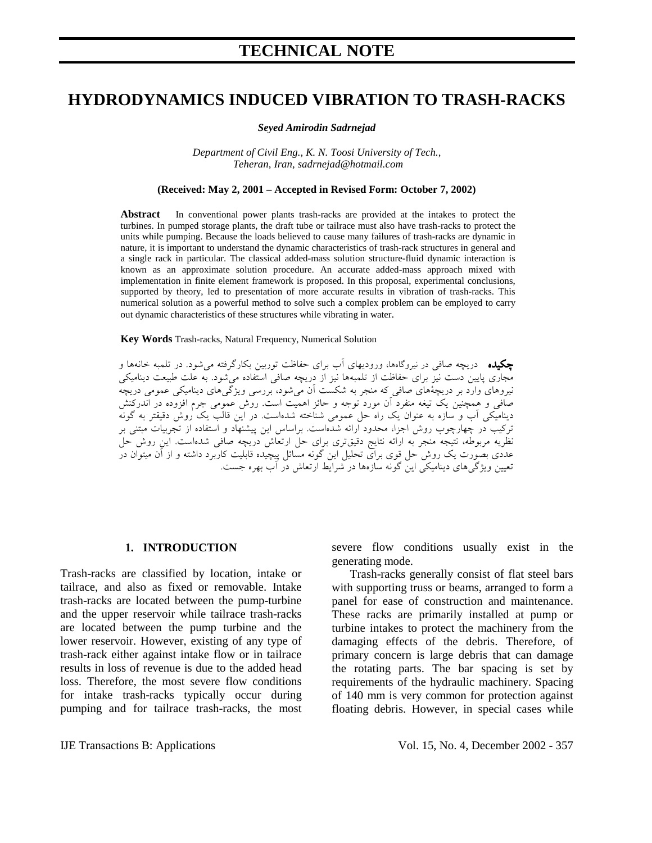# **HYDRODYNAMICS INDUCED VIBRATION TO TRASH-RACKS**

*Seyed Amirodin Sadrnejad*

*Department of Civil Eng., K. N. Toosi University of Tech., Teheran, Iran, sadrnejad@hotmail.com* 

#### **(Received: May 2, 2001 – Accepted in Revised Form: October 7, 2002)**

**Abstract** In conventional power plants trash-racks are provided at the intakes to protect the turbines. In pumped storage plants, the draft tube or tailrace must also have trash-racks to protect the units while pumping. Because the loads believed to cause many failures of trash-racks are dynamic in nature, it is important to understand the dynamic characteristics of trash-rack structures in general and a single rack in particular. The classical added-mass solution structure-fluid dynamic interaction is known as an approximate solution procedure. An accurate added-mass approach mixed with implementation in finite element framework is proposed. In this proposal, experimental conclusions, supported by theory, led to presentation of more accurate results in vibration of trash-racks. This numerical solution as a powerful method to solve such a complex problem can be employed to carry out dynamic characteristics of these structures while vibrating in water.

#### **Key Words** Trash-racks, Natural Frequency, Numerical Solution

چكيده دريچه صافي در نيروگاهها، وروديهاي آب براي حفاظت توربين بكارگرفته ميشود. در تلمبه خانهها و مجاري پايين دست نيز براي حفاظت از تلمبهها نيز از دريچه صافي استفاده ميشود. به علت طبيعت ديناميكي نيروهاي وارد بر دريچةهاي صافي كه منجر به شكست آن ميشود، بررسي ويژگيهاي ديناميكي عمومي دريچه صافي و همچنين يك تيغه منفرد آن مورد توجه و حائز اهميت است. روش عمومي جرم افزوده در اندركنش ديناميكي آب و سازه به عنوان يك راه حل عمومي شناخته شدهاست. در اين قالب يك روش دقيقتر به گونه تركيب در چهارچوب روش اجزا، محدود ارائه شدهاست. براساس اين پيشنهاد و استفاده از تجربيات مبتني بر نظريه مربوطه، نتيجه منجر به ارائه نتايج دقيقتري براي حل ارتعاش دريچه صافي شدهاست. اين روش حل عددي بصورت يك روش حل قوي براي تحليل اين گونه مسائل پيچيده قابليت كاربرد داشته و از آن ميتوان در تعيين ويژگيهاي ديناميكي اين گونه سازهها در شرايط ارتعاش در آب بهره جست.

#### **1. INTRODUCTION**

Trash-racks are classified by location, intake or tailrace, and also as fixed or removable. Intake trash-racks are located between the pump-turbine and the upper reservoir while tailrace trash-racks are located between the pump turbine and the lower reservoir. However, existing of any type of trash-rack either against intake flow or in tailrace results in loss of revenue is due to the added head loss. Therefore, the most severe flow conditions for intake trash-racks typically occur during pumping and for tailrace trash-racks, the most severe flow conditions usually exist in the generating mode.

Trash-racks generally consist of flat steel bars with supporting truss or beams, arranged to form a panel for ease of construction and maintenance. These racks are primarily installed at pump or turbine intakes to protect the machinery from the damaging effects of the debris. Therefore, of primary concern is large debris that can damage the rotating parts. The bar spacing is set by requirements of the hydraulic machinery. Spacing of 140 mm is very common for protection against floating debris. However, in special cases while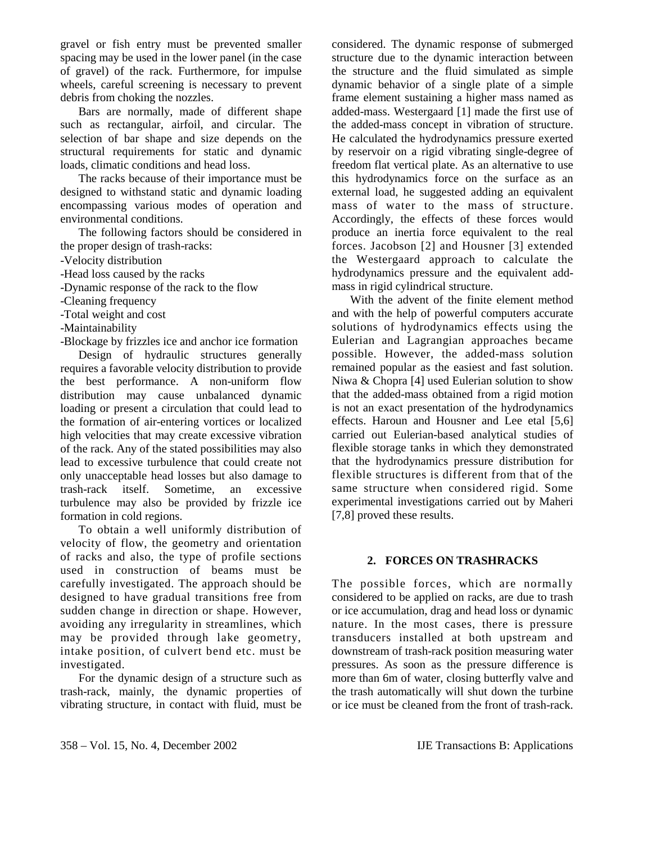gravel or fish entry must be prevented smaller spacing may be used in the lower panel (in the case of gravel) of the rack. Furthermore, for impulse wheels, careful screening is necessary to prevent debris from choking the nozzles.

Bars are normally, made of different shape such as rectangular, airfoil, and circular. The selection of bar shape and size depends on the structural requirements for static and dynamic loads, climatic conditions and head loss.

The racks because of their importance must be designed to withstand static and dynamic loading encompassing various modes of operation and environmental conditions.

The following factors should be considered in the proper design of trash-racks:

-Velocity distribution

-Head loss caused by the racks

-Dynamic response of the rack to the flow

-Cleaning frequency

-Total weight and cost

-Maintainability

-Blockage by frizzles ice and anchor ice formation

Design of hydraulic structures generally requires a favorable velocity distribution to provide the best performance. A non-uniform flow distribution may cause unbalanced dynamic loading or present a circulation that could lead to the formation of air-entering vortices or localized high velocities that may create excessive vibration of the rack. Any of the stated possibilities may also lead to excessive turbulence that could create not only unacceptable head losses but also damage to trash-rack itself. Sometime, an excessive turbulence may also be provided by frizzle ice formation in cold regions.

To obtain a well uniformly distribution of velocity of flow, the geometry and orientation of racks and also, the type of profile sections used in construction of beams must be carefully investigated. The approach should be designed to have gradual transitions free from sudden change in direction or shape. However, avoiding any irregularity in streamlines, which may be provided through lake geometry, intake position, of culvert bend etc. must be investigated.

For the dynamic design of a structure such as trash-rack, mainly, the dynamic properties of vibrating structure, in contact with fluid, must be considered. The dynamic response of submerged structure due to the dynamic interaction between the structure and the fluid simulated as simple dynamic behavior of a single plate of a simple frame element sustaining a higher mass named as added-mass. Westergaard [1] made the first use of the added-mass concept in vibration of structure. He calculated the hydrodynamics pressure exerted by reservoir on a rigid vibrating single-degree of freedom flat vertical plate. As an alternative to use this hydrodynamics force on the surface as an external load, he suggested adding an equivalent mass of water to the mass of structure. Accordingly, the effects of these forces would produce an inertia force equivalent to the real forces. Jacobson [2] and Housner [3] extended the Westergaard approach to calculate the hydrodynamics pressure and the equivalent addmass in rigid cylindrical structure.

With the advent of the finite element method and with the help of powerful computers accurate solutions of hydrodynamics effects using the Eulerian and Lagrangian approaches became possible. However, the added-mass solution remained popular as the easiest and fast solution. Niwa & Chopra [4] used Eulerian solution to show that the added-mass obtained from a rigid motion is not an exact presentation of the hydrodynamics effects. Haroun and Housner and Lee etal [5,6] carried out Eulerian-based analytical studies of flexible storage tanks in which they demonstrated that the hydrodynamics pressure distribution for flexible structures is different from that of the same structure when considered rigid. Some experimental investigations carried out by Maheri [7,8] proved these results.

## **2. FORCES ON TRASHRACKS**

The possible forces, which are normally considered to be applied on racks, are due to trash or ice accumulation, drag and head loss or dynamic nature. In the most cases, there is pressure transducers installed at both upstream and downstream of trash-rack position measuring water pressures. As soon as the pressure difference is more than 6m of water, closing butterfly valve and the trash automatically will shut down the turbine or ice must be cleaned from the front of trash-rack.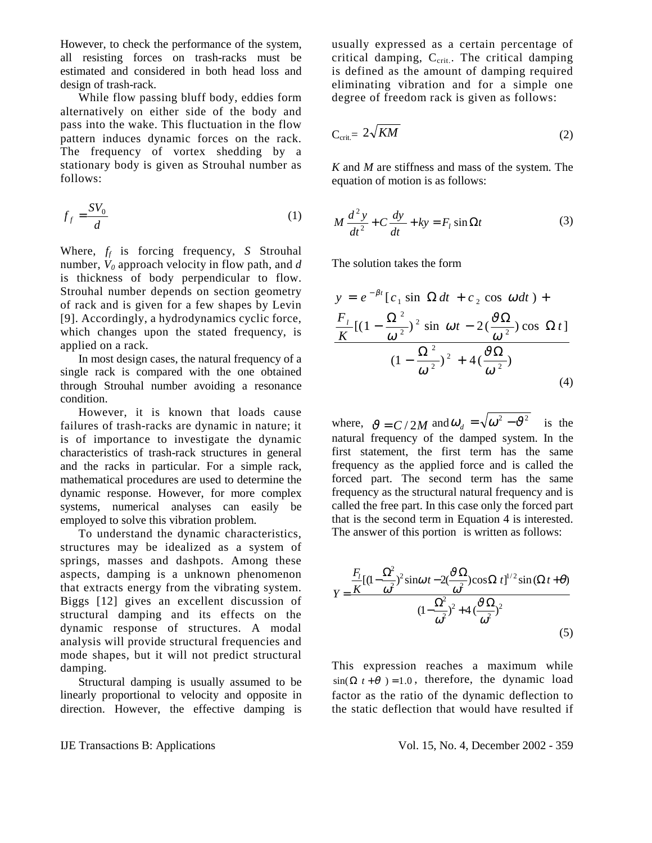However, to check the performance of the system, all resisting forces on trash-racks must be estimated and considered in both head loss and design of trash-rack.

While flow passing bluff body, eddies form alternatively on either side of the body and pass into the wake. This fluctuation in the flow pattern induces dynamic forces on the rack. The frequency of vortex shedding by a stationary body is given as Strouhal number as follows:

$$
f_f = \frac{SV_0}{d} \tag{1}
$$

Where, *ff* is forcing frequency, *S* Strouhal number,  $V_0$  approach velocity in flow path, and *d* is thickness of body perpendicular to flow. Strouhal number depends on section geometry of rack and is given for a few shapes by Levin [9]. Accordingly, a hydrodynamics cyclic force, which changes upon the stated frequency, is applied on a rack.

In most design cases, the natural frequency of a single rack is compared with the one obtained through Strouhal number avoiding a resonance condition.

However, it is known that loads cause failures of trash-racks are dynamic in nature; it is of importance to investigate the dynamic characteristics of trash-rack structures in general and the racks in particular. For a simple rack, mathematical procedures are used to determine the dynamic response. However, for more complex systems, numerical analyses can easily be employed to solve this vibration problem.

To understand the dynamic characteristics, structures may be idealized as a system of springs, masses and dashpots. Among these aspects, damping is a unknown phenomenon that extracts energy from the vibrating system. Biggs [12] gives an excellent discussion of structural damping and its effects on the dynamic response of structures. A modal analysis will provide structural frequencies and mode shapes, but it will not predict structural damping.

Structural damping is usually assumed to be linearly proportional to velocity and opposite in direction. However, the effective damping is

usually expressed as a certain percentage of critical damping,  $C_{\text{crit}}$ . The critical damping is defined as the amount of damping required eliminating vibration and for a simple one degree of freedom rack is given as follows:

$$
C_{\text{crit}} = 2\sqrt{KM} \tag{2}
$$

*K* and *M* are stiffness and mass of the system. The equation of motion is as follows:

$$
M\frac{d^2y}{dt^2} + C\frac{dy}{dt} + ky = F_l \sin \Omega t
$$
 (3)

The solution takes the form

$$
y = e^{-\beta t} [c_1 \sin \Omega dt + c_2 \cos \omega dt] +
$$
  

$$
\frac{F_1}{K} [(1 - \frac{\Omega^2}{\omega^2})^2 \sin \omega t - 2(\frac{\partial \Omega}{\omega^2}) \cos \Omega t]
$$
  

$$
(1 - \frac{\Omega^2}{\omega^2})^2 + 4(\frac{\partial \Omega}{\omega^2})
$$
  
(4)

where,  $\vartheta = C/2M$  and  $\omega_d = \sqrt{\omega^2 - \vartheta^2}$  is the natural frequency of the damped system. In the first statement, the first term has the same frequency as the applied force and is called the forced part. The second term has the same frequency as the structural natural frequency and is called the free part. In this case only the forced part that is the second term in Equation 4 is interested. The answer of this portion is written as follows:

$$
Y = \frac{\frac{F_t}{K}[(1-\frac{\Omega^2}{\omega^2})^2 \sin \omega t - 2(\frac{\partial \Omega}{\omega^2}) \cos \Omega t]^{1/2} \sin (\Omega t + \theta)}{(1-\frac{\Omega^2}{\omega^2})^2 + 4(\frac{\partial \Omega}{\omega^2})^2}
$$
(5)

This expression reaches a maximum while  $sin(\Omega t + \theta) = 1.0$ , therefore, the dynamic load factor as the ratio of the dynamic deflection to the static deflection that would have resulted if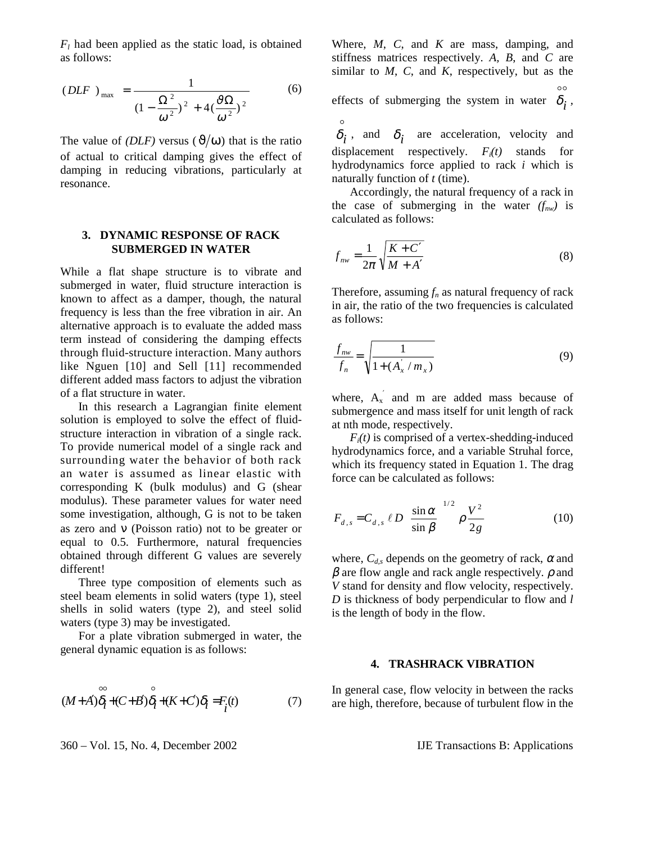$F_l$  had been applied as the static load, is obtained as follows:

$$
(DLF)_{\text{max}} = \frac{1}{\left(1 - \frac{\Omega^2}{\omega^2}\right)^2 + 4\left(\frac{\vartheta\Omega}{\omega^2}\right)^2}
$$
(6)

The value of *(DLF)* versus  $(\vartheta/\omega)$  that is the ratio of actual to critical damping gives the effect of damping in reducing vibrations, particularly at resonance.

## **3. DYNAMIC RESPONSE OF RACK SUBMERGED IN WATER**

While a flat shape structure is to vibrate and submerged in water, fluid structure interaction is known to affect as a damper, though, the natural frequency is less than the free vibration in air. An alternative approach is to evaluate the added mass term instead of considering the damping effects through fluid-structure interaction. Many authors like Nguen [10] and Sell [11] recommended different added mass factors to adjust the vibration of a flat structure in water.

In this research a Lagrangian finite element solution is employed to solve the effect of fluidstructure interaction in vibration of a single rack. To provide numerical model of a single rack and surrounding water the behavior of both rack an water is assumed as linear elastic with corresponding K (bulk modulus) and G (shear modulus). These parameter values for water need some investigation, although, G is not to be taken as zero and ν (Poisson ratio) not to be greater or equal to 0.5. Furthermore, natural frequencies obtained through different G values are severely different!

Three type composition of elements such as steel beam elements in solid waters (type 1), steel shells in solid waters (type 2), and steel solid waters (type 3) may be investigated.

For a plate vibration submerged in water, the general dynamic equation is as follows:

$$
(M+A)\overset{\infty}{\delta_i}+(C+B)\overset{\circ}{\delta_i}+(K+C)\delta_i=F_i(t)\tag{7}
$$

360 – Vol. 15, No. 4, December 2002 IJE Transactions B: Applications

Where, *M*, *C*, and *K* are mass, damping, and stiffness matrices respectively. *A, B*, and *C* are similar to *M*, *C*, and *K*, respectively, but as the oo

effects of submerging the system in water  $\delta_i$  ,

 $\frac{1}{2}$  $\delta_i$ , and  $\delta_i$  are acceleration, velocity and displacement respectively. *Fi(t)* stands for hydrodynamics force applied to rack *i* which is naturally function of *t* (time).

Accordingly, the natural frequency of a rack in the case of submerging in the water  $(f_{nw})$  is calculated as follows:

$$
f_{\scriptscriptstyle{BW}} = \frac{1}{2\pi} \sqrt{\frac{K + C'}{M + A'}}
$$
\n(8)

Therefore, assuming  $f_n$  as natural frequency of rack in air, the ratio of the two frequencies is calculated as follows:

$$
\frac{f_{nw}}{f_n} = \sqrt{\frac{1}{1 + (A_x / m_x)}}
$$
(9)

where,  $A_x'$  and m are added mass because of submergence and mass itself for unit length of rack at nth mode, respectively.

 $F_i(t)$  is comprised of a vertex-shedding-induced hydrodynamics force, and a variable Struhal force, which its frequency stated in Equation 1. The drag force can be calculated as follows:

$$
F_{d,s} = C_{d,s} \ell D \left\{ \frac{\sin \alpha}{\sin \beta} \right\}^{1/2} \rho \frac{V^2}{2g}
$$
 (10)

where,  $C_{d,s}$  depends on the geometry of rack,  $\alpha$  and  $β$  are flow angle and rack angle respectively.  $ρ$  and *V* stand for density and flow velocity, respectively. *D* is thickness of body perpendicular to flow and *l* is the length of body in the flow.

#### **4. TRASHRACK VIBRATION**

In general case, flow velocity in between the racks are high, therefore, because of turbulent flow in the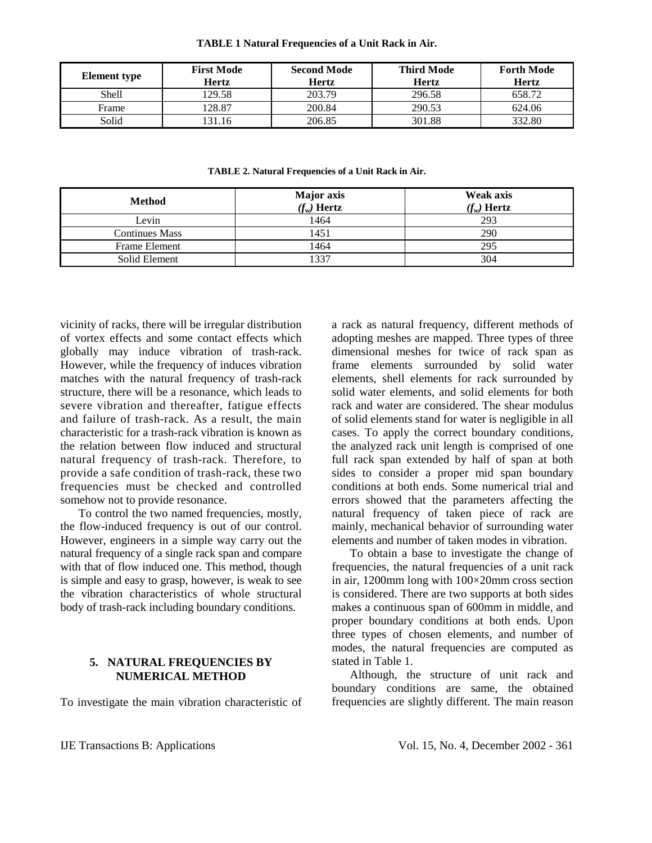| <b>Element type</b> | <b>First Mode</b><br><b>Hertz</b> | <b>Second Mode</b><br><b>Hertz</b> | <b>Third Mode</b><br><b>Hertz</b> | <b>Forth Mode</b><br><b>Hertz</b> |
|---------------------|-----------------------------------|------------------------------------|-----------------------------------|-----------------------------------|
| <b>Shell</b>        | 129.58                            | 203.79                             | 296.58                            | 658.72                            |
| Frame               | 128.87                            | 200.84                             | 290.53                            | 624.06                            |
| Solid               | 31.16                             | 206.85                             | 301.88                            | 332.80                            |

**TABLE 1 Natural Frequencies of a Unit Rack in Air.** 

**TABLE 2. Natural Frequencies of a Unit Rack in Air.** 

| <b>Method</b>         | <b>Major</b> axis<br>$(f_w)$ Hertz | Weak axis<br>$(f_w)$ Hertz |
|-----------------------|------------------------------------|----------------------------|
| Levin                 | 1464                               | 293                        |
| <b>Continues Mass</b> | 1451                               | 290                        |
| <b>Frame Element</b>  | 1464                               | 295                        |
| Solid Element         | 1337                               | 304                        |

vicinity of racks, there will be irregular distribution of vortex effects and some contact effects which globally may induce vibration of trash-rack. However, while the frequency of induces vibration matches with the natural frequency of trash-rack structure, there will be a resonance, which leads to severe vibration and thereafter, fatigue effects and failure of trash-rack. As a result, the main characteristic for a trash-rack vibration is known as the relation between flow induced and structural natural frequency of trash-rack. Therefore, to provide a safe condition of trash-rack, these two frequencies must be checked and controlled somehow not to provide resonance.

To control the two named frequencies, mostly, the flow-induced frequency is out of our control. However, engineers in a simple way carry out the natural frequency of a single rack span and compare with that of flow induced one. This method, though is simple and easy to grasp, however, is weak to see the vibration characteristics of whole structural body of trash-rack including boundary conditions.

# **5. NATURAL FREQUENCIES BY NUMERICAL METHOD**

To investigate the main vibration characteristic of

a rack as natural frequency, different methods of adopting meshes are mapped. Three types of three dimensional meshes for twice of rack span as frame elements surrounded by solid water elements, shell elements for rack surrounded by solid water elements, and solid elements for both rack and water are considered. The shear modulus of solid elements stand for water is negligible in all cases. To apply the correct boundary conditions, the analyzed rack unit length is comprised of one full rack span extended by half of span at both sides to consider a proper mid span boundary conditions at both ends. Some numerical trial and errors showed that the parameters affecting the natural frequency of taken piece of rack are mainly, mechanical behavior of surrounding water elements and number of taken modes in vibration.

To obtain a base to investigate the change of frequencies, the natural frequencies of a unit rack in air, 1200mm long with 100×20mm cross section is considered. There are two supports at both sides makes a continuous span of 600mm in middle, and proper boundary conditions at both ends. Upon three types of chosen elements, and number of modes, the natural frequencies are computed as stated in Table 1.

Although, the structure of unit rack and boundary conditions are same, the obtained frequencies are slightly different. The main reason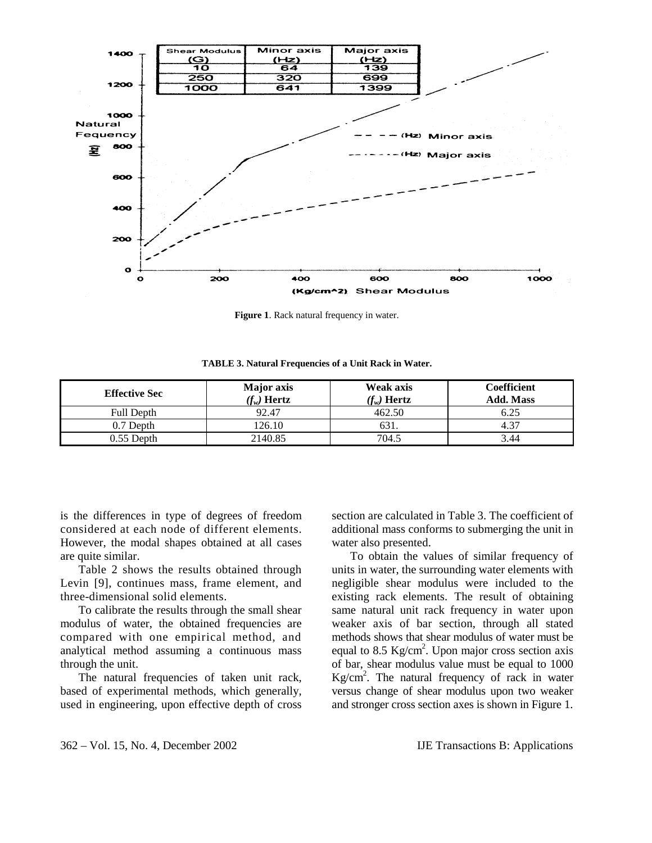

**Figure 1**. Rack natural frequency in water.

**TABLE 3. Natural Frequencies of a Unit Rack in Water.**

| <b>Effective Sec</b> | <b>Major</b> axis<br>$(f_w)$ Hertz | Weak axis<br>$(f_w)$ Hertz | Coefficient<br><b>Add. Mass</b> |
|----------------------|------------------------------------|----------------------------|---------------------------------|
| Full Depth           | 92.47                              | 462.50                     |                                 |
| 0.7 Depth            | 126.10                             | 031.                       | 4.37                            |
| $0.55$ Depth         | 2140.85                            | 704.5                      | 3.44                            |

is the differences in type of degrees of freedom considered at each node of different elements. However, the modal shapes obtained at all cases are quite similar.

Table 2 shows the results obtained through Levin [9], continues mass, frame element, and three-dimensional solid elements.

To calibrate the results through the small shear modulus of water, the obtained frequencies are compared with one empirical method, and analytical method assuming a continuous mass through the unit.

The natural frequencies of taken unit rack, based of experimental methods, which generally, used in engineering, upon effective depth of cross section are calculated in Table 3. The coefficient of additional mass conforms to submerging the unit in water also presented.

To obtain the values of similar frequency of units in water, the surrounding water elements with negligible shear modulus were included to the existing rack elements. The result of obtaining same natural unit rack frequency in water upon weaker axis of bar section, through all stated methods shows that shear modulus of water must be equal to 8.5  $Kg/cm<sup>2</sup>$ . Upon major cross section axis of bar, shear modulus value must be equal to 1000  $Kg/cm<sup>2</sup>$ . The natural frequency of rack in water versus change of shear modulus upon two weaker and stronger cross section axes is shown in Figure 1.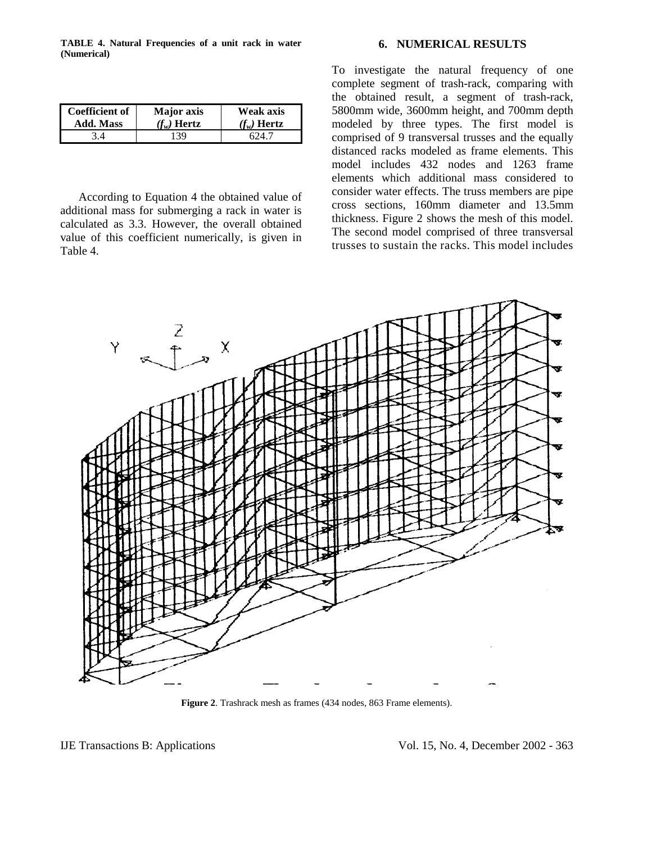**TABLE 4. Natural Frequencies of a unit rack in water (Numerical)** 

| <b>Coefficient of</b> | <b>Major</b> axis | Weak axis     |
|-----------------------|-------------------|---------------|
| Add. Mass             | $(f_w)$ Hertz     | $(f_w)$ Hertz |
| 3.4                   | 139               | 624 7         |

According to Equation 4 the obtained value of additional mass for submerging a rack in water is calculated as 3.3. However, the overall obtained value of this coefficient numerically, is given in Table 4.

To investigate the natural frequency of one complete segment of trash-rack, comparing with the obtained result, a segment of trash-rack, 5800mm wide, 3600mm height, and 700mm depth modeled by three types. The first model is comprised of 9 transversal trusses and the equally distanced racks modeled as frame elements. This model includes 432 nodes and 1263 frame elements which additional mass considered to consider water effects. The truss members are pipe cross sections, 160mm diameter and 13.5mm thickness. Figure 2 shows the mesh of this model. The second model comprised of three transversal trusses to sustain the racks. This model includes



**Figure 2**. Trashrack mesh as frames (434 nodes, 863 Frame elements).

IJE Transactions B: Applications III and Solutions Vol. 15, No. 4, December 2002 - 363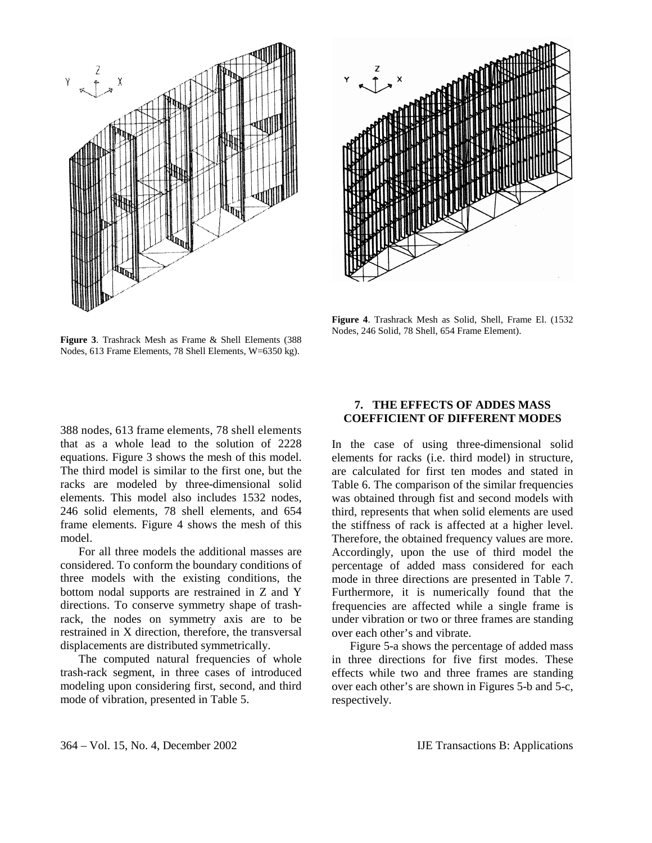



**Figure 3**. Trashrack Mesh as Frame & Shell Elements (388 Nodes, 613 Frame Elements, 78 Shell Elements, W=6350 kg). Nodes, 246 Solid, 78 Shell, 654 Frame Element).

388 nodes, 613 frame elements, 78 shell elements that as a whole lead to the solution of 2228 equations. Figure 3 shows the mesh of this model. The third model is similar to the first one, but the racks are modeled by three-dimensional solid elements. This model also includes 1532 nodes, 246 solid elements, 78 shell elements, and 654 frame elements. Figure 4 shows the mesh of this model.

For all three models the additional masses are considered. To conform the boundary conditions of three models with the existing conditions, the bottom nodal supports are restrained in Z and Y directions. To conserve symmetry shape of trashrack, the nodes on symmetry axis are to be restrained in X direction, therefore, the transversal displacements are distributed symmetrically.

The computed natural frequencies of whole trash-rack segment, in three cases of introduced modeling upon considering first, second, and third mode of vibration, presented in Table 5.

# **7. THE EFFECTS OF ADDES MASS COEFFICIENT OF DIFFERENT MODES**

**Figure 4**. Trashrack Mesh as Solid, Shell, Frame El. (1532

In the case of using three-dimensional solid elements for racks (i.e. third model) in structure, are calculated for first ten modes and stated in Table 6. The comparison of the similar frequencies was obtained through fist and second models with third, represents that when solid elements are used the stiffness of rack is affected at a higher level. Therefore, the obtained frequency values are more. Accordingly, upon the use of third model the percentage of added mass considered for each mode in three directions are presented in Table 7. Furthermore, it is numerically found that the frequencies are affected while a single frame is under vibration or two or three frames are standing over each other's and vibrate.

Figure 5-a shows the percentage of added mass in three directions for five first modes. These effects while two and three frames are standing over each other's are shown in Figures 5-b and 5-c, respectively.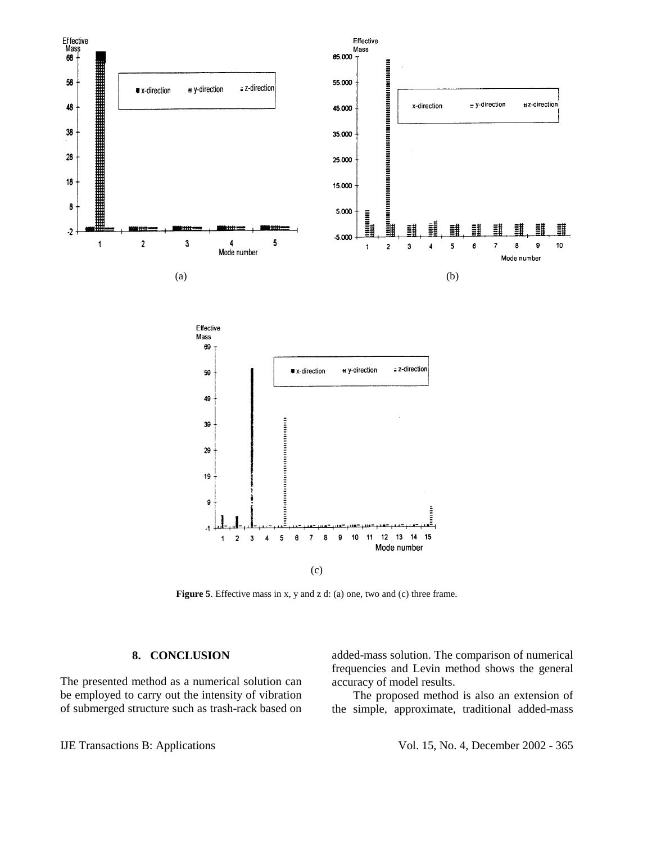

**Figure 5**. Effective mass in x, y and z d: (a) one, two and (c) three frame.

#### **8. CONCLUSION**

The presented method as a numerical solution can be employed to carry out the intensity of vibration of submerged structure such as trash-rack based on added-mass solution. The comparison of numerical frequencies and Levin method shows the general accuracy of model results.

 The proposed method is also an extension of the simple, approximate, traditional added-mass

IJE Transactions B: Applications Intervalse vol. 15, No. 4, December 2002 - 365